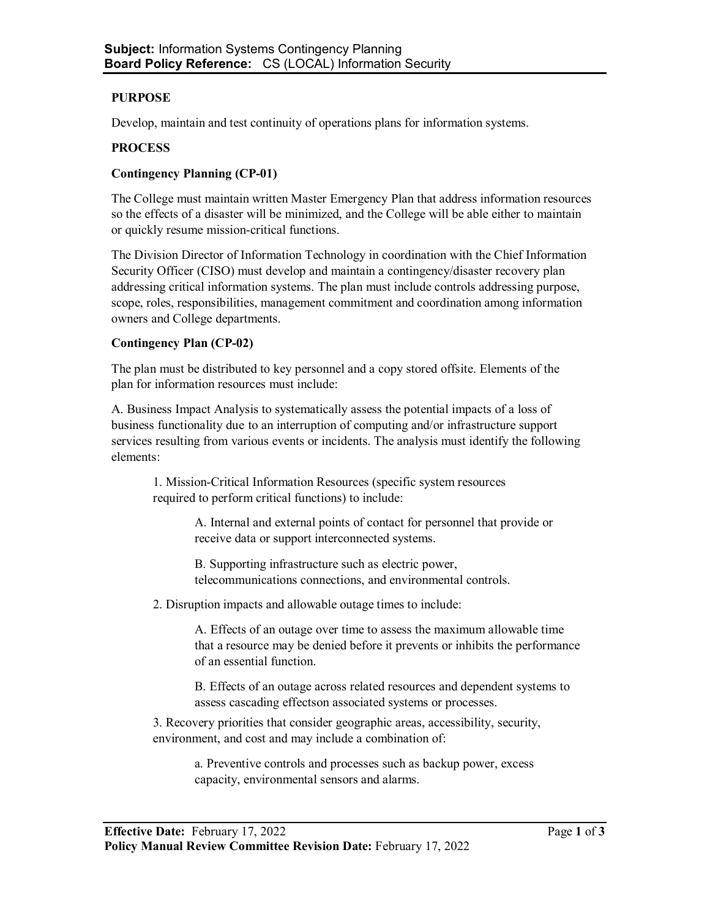### **PURPOSE**

Develop, maintain and test continuity of operations plans for information systems.

#### **PROCESS**

### **Contingency Planning (CP-01)**

The College must maintain written Master Emergency Plan that address information resources so the effects of a disaster will be minimized, and the College will be able either to maintain or quickly resume mission-critical functions.

The Division Director of Information Technology in coordination with the Chief Information Security Officer (CISO) must develop and maintain a contingency/disaster recovery plan addressing critical information systems. The plan must include controls addressing purpose, scope, roles, responsibilities, management commitment and coordination among information owners and College departments.

#### **Contingency Plan (CP-02)**

The plan must be distributed to key personnel and a copy stored offsite. Elements of the plan for information resources must include:

A. Business Impact Analysis to systematically assess the potential impacts of a loss of business functionality due to an interruption of computing and/or infrastructure support services resulting from various events or incidents. The analysis must identify the following elements:

1. Mission-Critical Information Resources (specific system resources required to perform critical functions) to include:

> A. Internal and external points of contact for personnel that provide or receive data or support interconnected systems.

B. Supporting infrastructure such as electric power, telecommunications connections, and environmental controls.

2. Disruption impacts and allowable outage times to include:

A. Effects of an outage over time to assess the maximum allowable time that a resource may be denied before it prevents or inhibits the performance of an essential function.

B. Effects of an outage across related resources and dependent systems to assess cascading effectson associated systems or processes.

3. Recovery priorities that consider geographic areas, accessibility, security, environment, and cost and may include a combination of:

> a. Preventive controls and processes such as backup power, excess capacity, environmental sensors and alarms.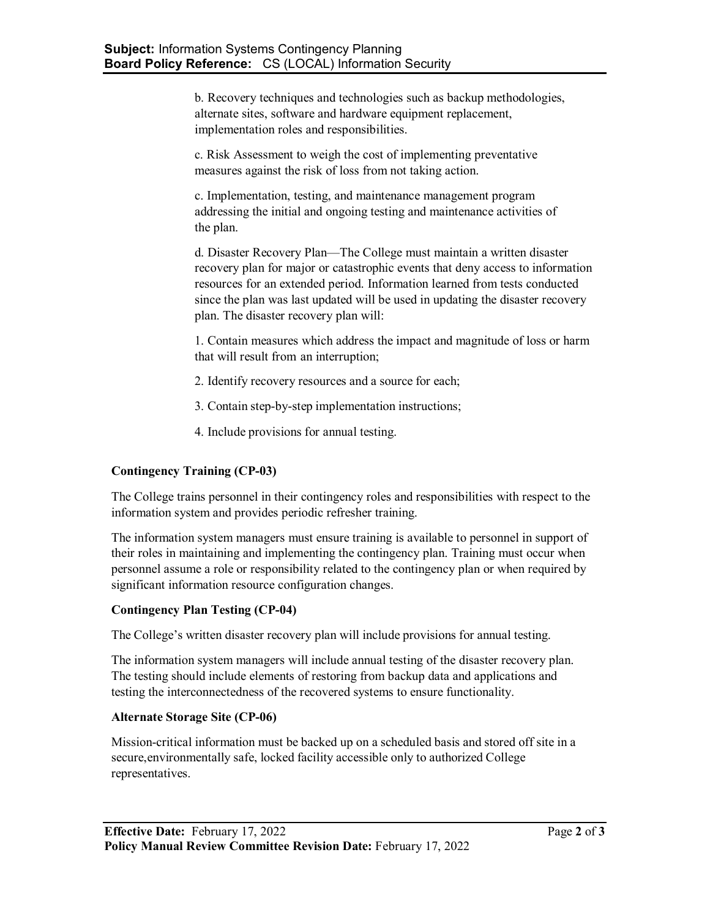b. Recovery techniques and technologies such as backup methodologies, alternate sites, software and hardware equipment replacement, implementation roles and responsibilities.

c. Risk Assessment to weigh the cost of implementing preventative measures against the risk of loss from not taking action.

c. Implementation, testing, and maintenance management program addressing the initial and ongoing testing and maintenance activities of the plan.

d. Disaster Recovery Plan—The College must maintain a written disaster recovery plan for major or catastrophic events that deny access to information resources for an extended period. Information learned from tests conducted since the plan was last updated will be used in updating the disaster recovery plan. The disaster recovery plan will:

1. Contain measures which address the impact and magnitude of loss or harm that will result from an interruption;

- 2. Identify recovery resources and a source for each;
- 3. Contain step-by-step implementation instructions;
- 4. Include provisions for annual testing.

# **Contingency Training (CP-03)**

The College trains personnel in their contingency roles and responsibilities with respect to the information system and provides periodic refresher training.

The information system managers must ensure training is available to personnel in support of their roles in maintaining and implementing the contingency plan. Training must occur when personnel assume a role or responsibility related to the contingency plan or when required by significant information resource configuration changes.

# **Contingency Plan Testing (CP-04)**

The College's written disaster recovery plan will include provisions for annual testing.

The information system managers will include annual testing of the disaster recovery plan. The testing should include elements of restoring from backup data and applications and testing the interconnectedness of the recovered systems to ensure functionality.

### **Alternate Storage Site (CP-06)**

Mission-critical information must be backed up on a scheduled basis and stored off site in a secure,environmentally safe, locked facility accessible only to authorized College representatives.